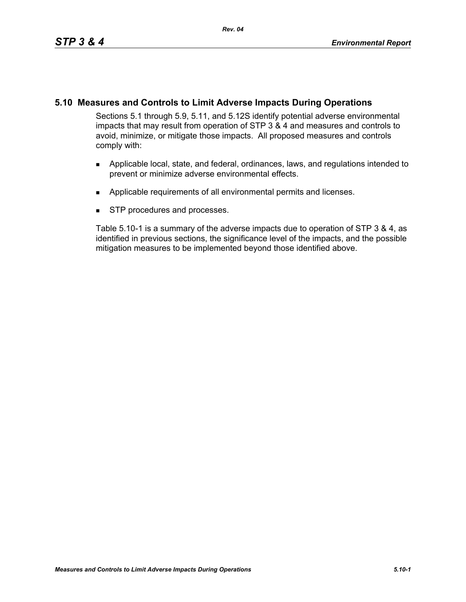# **5.10 Measures and Controls to Limit Adverse Impacts During Operations**

Sections 5.1 through 5.9, 5.11, and 5.12S identify potential adverse environmental impacts that may result from operation of STP 3 & 4 and measures and controls to avoid, minimize, or mitigate those impacts. All proposed measures and controls comply with:

- Applicable local, state, and federal, ordinances, laws, and regulations intended to prevent or minimize adverse environmental effects.
- **Applicable requirements of all environmental permits and licenses.**
- **STP** procedures and processes.

Table 5.10-1 is a summary of the adverse impacts due to operation of STP 3 & 4, as identified in previous sections, the significance level of the impacts, and the possible mitigation measures to be implemented beyond those identified above.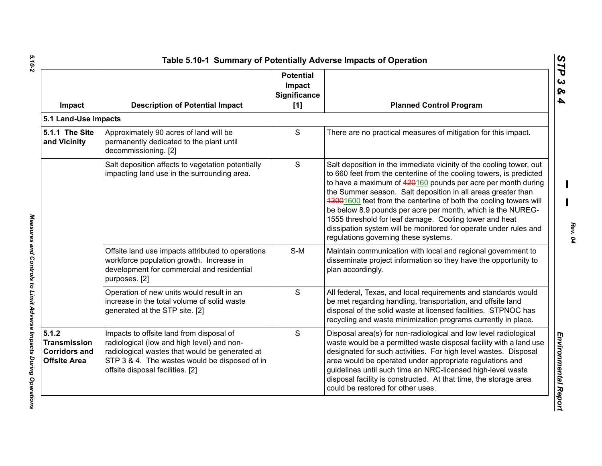| Impact                                                                      | <b>Description of Potential Impact</b>                                                                                                                                                                                        | <b>Potential</b><br>Impact<br>Significance<br>[1] | <b>Planned Control Program</b>                                                                                                                                                                                                                                                                                                                                                                                                                                                                                                                                                       |
|-----------------------------------------------------------------------------|-------------------------------------------------------------------------------------------------------------------------------------------------------------------------------------------------------------------------------|---------------------------------------------------|--------------------------------------------------------------------------------------------------------------------------------------------------------------------------------------------------------------------------------------------------------------------------------------------------------------------------------------------------------------------------------------------------------------------------------------------------------------------------------------------------------------------------------------------------------------------------------------|
| 5.1 Land-Use Impacts                                                        |                                                                                                                                                                                                                               |                                                   |                                                                                                                                                                                                                                                                                                                                                                                                                                                                                                                                                                                      |
| 5.1.1 The Site<br>and Vicinity                                              | Approximately 90 acres of land will be<br>permanently dedicated to the plant until<br>decommissioning. [2]                                                                                                                    | $\mathsf S$                                       | There are no practical measures of mitigation for this impact.                                                                                                                                                                                                                                                                                                                                                                                                                                                                                                                       |
|                                                                             | Salt deposition affects to vegetation potentially<br>impacting land use in the surrounding area.                                                                                                                              | S                                                 | Salt deposition in the immediate vicinity of the cooling tower, out<br>to 660 feet from the centerline of the cooling towers, is predicted<br>to have a maximum of 420160 pounds per acre per month during<br>the Summer season. Salt deposition in all areas greater than<br>13001600 feet from the centerline of both the cooling towers will<br>be below 8.9 pounds per acre per month, which is the NUREG-<br>1555 threshold for leaf damage. Cooling tower and heat<br>dissipation system will be monitored for operate under rules and<br>regulations governing these systems. |
|                                                                             | Offsite land use impacts attributed to operations<br>workforce population growth. Increase in<br>development for commercial and residential<br>purposes. [2]                                                                  | $S-M$                                             | Maintain communication with local and regional government to<br>disseminate project information so they have the opportunity to<br>plan accordingly.                                                                                                                                                                                                                                                                                                                                                                                                                                 |
|                                                                             | Operation of new units would result in an<br>increase in the total volume of solid waste<br>generated at the STP site. [2]                                                                                                    | S                                                 | All federal, Texas, and local requirements and standards would<br>be met regarding handling, transportation, and offsite land<br>disposal of the solid waste at licensed facilities. STPNOC has<br>recycling and waste minimization programs currently in place.                                                                                                                                                                                                                                                                                                                     |
| 5.1.2<br><b>Transmission</b><br><b>Corridors and</b><br><b>Offsite Area</b> | Impacts to offsite land from disposal of<br>radiological (low and high level) and non-<br>radiological wastes that would be generated at<br>STP 3 & 4. The wastes would be disposed of in<br>offsite disposal facilities. [2] | S                                                 | Disposal area(s) for non-radiological and low level radiological<br>waste would be a permitted waste disposal facility with a land use<br>designated for such activities. For high level wastes. Disposal<br>area would be operated under appropriate regulations and<br>guidelines until such time an NRC-licensed high-level waste<br>disposal facility is constructed. At that time, the storage area<br>could be restored for other uses.                                                                                                                                        |

 $5.10 - 2$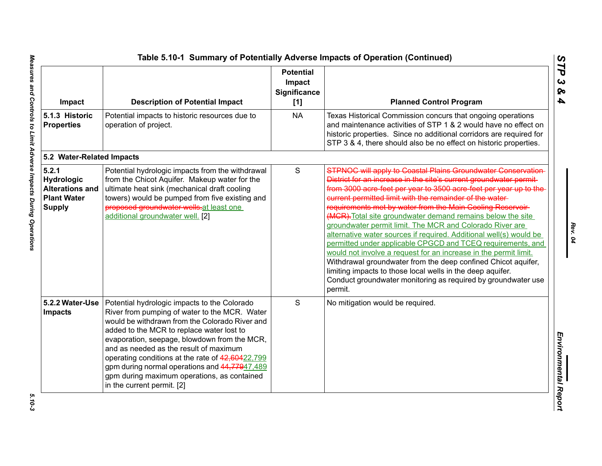| Impact                                                                               | <b>Description of Potential Impact</b>                                                                                                                                                                                                                                                                                                                                                                                                                                   | <b>Potential</b><br>Impact<br>Significance<br>[1] | <b>Planned Control Program</b>                                                                                                                                                                                                                                                                                                                                                                                                                                                                                                                                                                                                                                                                                                                                                                                                                                                          |
|--------------------------------------------------------------------------------------|--------------------------------------------------------------------------------------------------------------------------------------------------------------------------------------------------------------------------------------------------------------------------------------------------------------------------------------------------------------------------------------------------------------------------------------------------------------------------|---------------------------------------------------|-----------------------------------------------------------------------------------------------------------------------------------------------------------------------------------------------------------------------------------------------------------------------------------------------------------------------------------------------------------------------------------------------------------------------------------------------------------------------------------------------------------------------------------------------------------------------------------------------------------------------------------------------------------------------------------------------------------------------------------------------------------------------------------------------------------------------------------------------------------------------------------------|
| 5.1.3 Historic<br><b>Properties</b>                                                  | Potential impacts to historic resources due to<br>operation of project.                                                                                                                                                                                                                                                                                                                                                                                                  | <b>NA</b>                                         | Texas Historical Commission concurs that ongoing operations<br>and maintenance activities of STP 1 & 2 would have no effect on<br>historic properties. Since no additional corridors are required for<br>STP 3 & 4, there should also be no effect on historic properties.                                                                                                                                                                                                                                                                                                                                                                                                                                                                                                                                                                                                              |
| 5.2 Water-Related Impacts                                                            |                                                                                                                                                                                                                                                                                                                                                                                                                                                                          |                                                   |                                                                                                                                                                                                                                                                                                                                                                                                                                                                                                                                                                                                                                                                                                                                                                                                                                                                                         |
| 5.2.1<br>Hydrologic<br><b>Alterations and</b><br><b>Plant Water</b><br><b>Supply</b> | Potential hydrologic impacts from the withdrawal<br>from the Chicot Aquifer. Makeup water for the<br>ultimate heat sink (mechanical draft cooling<br>towers) would be pumped from five existing and<br>proposed groundwater wells-at least one<br>additional groundwater well. [2]                                                                                                                                                                                       | $\mathsf S$                                       | <b>STPNOC will apply to Coastal Plains Groundwater Conservation</b><br>District for an increase in the site's current groundwater permit-<br>from 3000 acre feet per year to 3500 acre feet per year up to the<br>current permitted limit with the remainder of the water-<br>requirements met by water from the Main Cooling Reservoir-<br>(MCR). Total site groundwater demand remains below the site<br>groundwater permit limit. The MCR and Colorado River are<br>alternative water sources if required. Additional well(s) would be<br>permitted under applicable CPGCD and TCEQ requirements, and<br>would not involve a request for an increase in the permit limit.<br>Withdrawal groundwater from the deep confined Chicot aquifer,<br>limiting impacts to those local wells in the deep aquifer.<br>Conduct groundwater monitoring as required by groundwater use<br>permit. |
| 5.2.2 Water-Use<br><b>Impacts</b>                                                    | Potential hydrologic impacts to the Colorado<br>River from pumping of water to the MCR. Water<br>would be withdrawn from the Colorado River and<br>added to the MCR to replace water lost to<br>evaporation, seepage, blowdown from the MCR,<br>and as needed as the result of maximum<br>operating conditions at the rate of 42,60422,799<br>gpm during normal operations and 44,77947,489<br>gpm during maximum operations, as contained<br>in the current permit. [2] | S                                                 | No mitigation would be required.                                                                                                                                                                                                                                                                                                                                                                                                                                                                                                                                                                                                                                                                                                                                                                                                                                                        |

 $5.10 - 3$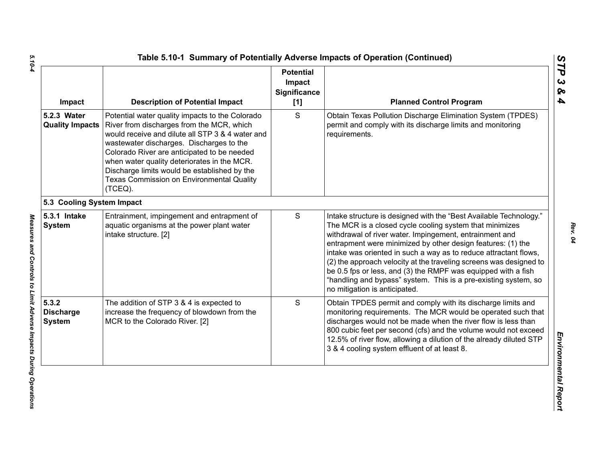| Impact                                     | <b>Description of Potential Impact</b>                                                                                                                                                                                                                                                                                                                                                             | <b>Potential</b><br>Impact<br>Significance<br>$[1]$ | <b>Planned Control Program</b>                                                                                                                                                                                                                                                                                                                                                                                                                                                                                                                                         |
|--------------------------------------------|----------------------------------------------------------------------------------------------------------------------------------------------------------------------------------------------------------------------------------------------------------------------------------------------------------------------------------------------------------------------------------------------------|-----------------------------------------------------|------------------------------------------------------------------------------------------------------------------------------------------------------------------------------------------------------------------------------------------------------------------------------------------------------------------------------------------------------------------------------------------------------------------------------------------------------------------------------------------------------------------------------------------------------------------------|
| 5.2.3 Water<br><b>Quality Impacts</b>      | Potential water quality impacts to the Colorado<br>River from discharges from the MCR, which<br>would receive and dilute all STP 3 & 4 water and<br>wastewater discharges. Discharges to the<br>Colorado River are anticipated to be needed<br>when water quality deteriorates in the MCR.<br>Discharge limits would be established by the<br>Texas Commission on Environmental Quality<br>(TCEQ). | S                                                   | Obtain Texas Pollution Discharge Elimination System (TPDES)<br>permit and comply with its discharge limits and monitoring<br>requirements.                                                                                                                                                                                                                                                                                                                                                                                                                             |
| 5.3 Cooling System Impact                  |                                                                                                                                                                                                                                                                                                                                                                                                    |                                                     |                                                                                                                                                                                                                                                                                                                                                                                                                                                                                                                                                                        |
| 5.3.1 Intake<br><b>System</b>              | Entrainment, impingement and entrapment of<br>aquatic organisms at the power plant water<br>intake structure. [2]                                                                                                                                                                                                                                                                                  | S                                                   | Intake structure is designed with the "Best Available Technology."<br>The MCR is a closed cycle cooling system that minimizes<br>withdrawal of river water. Impingement, entrainment and<br>entrapment were minimized by other design features: (1) the<br>intake was oriented in such a way as to reduce attractant flows,<br>(2) the approach velocity at the traveling screens was designed to<br>be 0.5 fps or less, and (3) the RMPF was equipped with a fish<br>"handling and bypass" system. This is a pre-existing system, so<br>no mitigation is anticipated. |
| 5.3.2<br><b>Discharge</b><br><b>System</b> | The addition of STP 3 & 4 is expected to<br>increase the frequency of blowdown from the<br>MCR to the Colorado River. [2]                                                                                                                                                                                                                                                                          | S                                                   | Obtain TPDES permit and comply with its discharge limits and<br>monitoring requirements. The MCR would be operated such that<br>discharges would not be made when the river flow is less than<br>800 cubic feet per second (cfs) and the volume would not exceed<br>12.5% of river flow, allowing a dilution of the already diluted STP<br>3 & 4 cooling system effluent of at least 8.                                                                                                                                                                                |

*STP 3 & 4*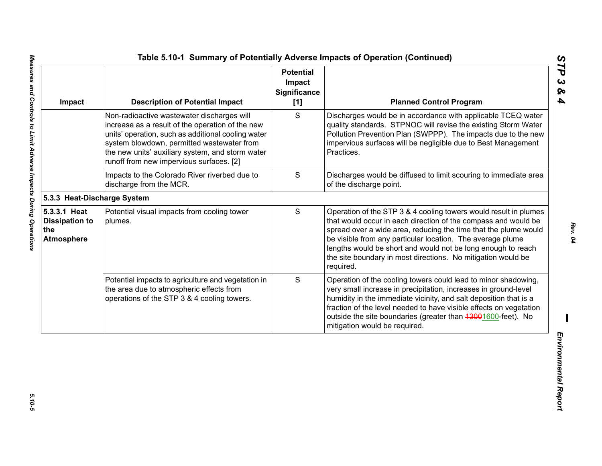| Impact                                                            | <b>Description of Potential Impact</b>                                                                                                                                                                                                                                                             | <b>Potential</b><br>Impact<br>Significance<br>[1] | <b>Planned Control Program</b>                                                                                                                                                                                                                                                                                                                                                                                   |
|-------------------------------------------------------------------|----------------------------------------------------------------------------------------------------------------------------------------------------------------------------------------------------------------------------------------------------------------------------------------------------|---------------------------------------------------|------------------------------------------------------------------------------------------------------------------------------------------------------------------------------------------------------------------------------------------------------------------------------------------------------------------------------------------------------------------------------------------------------------------|
|                                                                   | Non-radioactive wastewater discharges will<br>increase as a result of the operation of the new<br>units' operation, such as additional cooling water<br>system blowdown, permitted wastewater from<br>the new units' auxiliary system, and storm water<br>runoff from new impervious surfaces. [2] | S                                                 | Discharges would be in accordance with applicable TCEQ water<br>quality standards. STPNOC will revise the existing Storm Water<br>Pollution Prevention Plan (SWPPP). The impacts due to the new<br>impervious surfaces will be negligible due to Best Management<br>Practices.                                                                                                                                   |
|                                                                   | $\mathbf S$<br>Impacts to the Colorado River riverbed due to<br>discharge from the MCR.                                                                                                                                                                                                            |                                                   | Discharges would be diffused to limit scouring to immediate area<br>of the discharge point.                                                                                                                                                                                                                                                                                                                      |
| 5.3.3 Heat-Discharge System                                       |                                                                                                                                                                                                                                                                                                    |                                                   |                                                                                                                                                                                                                                                                                                                                                                                                                  |
| 5.3.3.1 Heat<br><b>Dissipation to</b><br>the<br><b>Atmosphere</b> | Potential visual impacts from cooling tower<br>plumes.                                                                                                                                                                                                                                             | $\mathbf S$                                       | Operation of the STP 3 & 4 cooling towers would result in plumes<br>that would occur in each direction of the compass and would be<br>spread over a wide area, reducing the time that the plume would<br>be visible from any particular location. The average plume<br>lengths would be short and would not be long enough to reach<br>the site boundary in most directions. No mitigation would be<br>required. |
|                                                                   | Potential impacts to agriculture and vegetation in<br>the area due to atmospheric effects from<br>operations of the STP 3 & 4 cooling towers.                                                                                                                                                      | S                                                 | Operation of the cooling towers could lead to minor shadowing,<br>very small increase in precipitation, increases in ground-level<br>humidity in the immediate vicinity, and salt deposition that is a<br>fraction of the level needed to have visible effects on vegetation<br>outside the site boundaries (greater than 43001600-feet). No<br>mitigation would be required.                                    |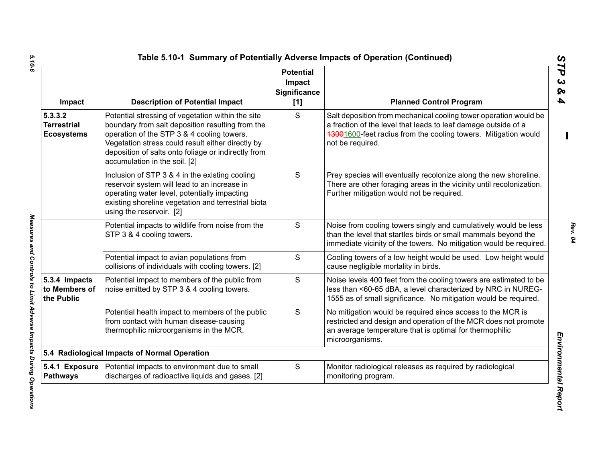| Impact                                             | <b>Description of Potential Impact</b>                                                                                                                                                                                                                                                           | <b>Potential</b><br>Impact<br><b>Significance</b><br>[1] | <b>Planned Control Program</b>                                                                                                                                                                                           |
|----------------------------------------------------|--------------------------------------------------------------------------------------------------------------------------------------------------------------------------------------------------------------------------------------------------------------------------------------------------|----------------------------------------------------------|--------------------------------------------------------------------------------------------------------------------------------------------------------------------------------------------------------------------------|
| 5.3.3.2<br><b>Terrestrial</b><br><b>Ecosystems</b> | Potential stressing of vegetation within the site<br>boundary from salt deposition resulting from the<br>operation of the STP 3 & 4 cooling towers.<br>Vegetation stress could result either directly by<br>deposition of salts onto foliage or indirectly from<br>accumulation in the soil. [2] | S                                                        | Salt deposition from mechanical cooling tower operation would be<br>a fraction of the level that leads to leaf damage outside of a<br>13001600-feet radius from the cooling towers. Mitigation would<br>not be required. |
|                                                    | Inclusion of STP 3 & 4 in the existing cooling<br>reservoir system will lead to an increase in<br>operating water level, potentially impacting<br>existing shoreline vegetation and terrestrial biota<br>using the reservoir. [2]                                                                | S                                                        | Prey species will eventually recolonize along the new shoreline.<br>There are other foraging areas in the vicinity until recolonization.<br>Further mitigation would not be required.                                    |
|                                                    | Potential impacts to wildlife from noise from the<br>STP 3 & 4 cooling towers.                                                                                                                                                                                                                   | S                                                        | Noise from cooling towers singly and cumulatively would be less<br>than the level that startles birds or small mammals beyond the<br>immediate vicinity of the towers. No mitigation would be required.                  |
|                                                    | Potential impact to avian populations from<br>collisions of individuals with cooling towers. [2]                                                                                                                                                                                                 | S                                                        | Cooling towers of a low height would be used. Low height would<br>cause negligible mortality in birds.                                                                                                                   |
| 5.3.4 Impacts<br>to Members of<br>the Public       | Potential impact to members of the public from<br>noise emitted by STP 3 & 4 cooling towers.                                                                                                                                                                                                     | S                                                        | Noise levels 400 feet from the cooling towers are estimated to be<br>less than <60-65 dBA, a level characterized by NRC in NUREG-<br>1555 as of small significance. No mitigation would be required.                     |
|                                                    | Potential health impact to members of the public<br>from contact with human disease-causing<br>thermophilic microorganisms in the MCR.                                                                                                                                                           | S                                                        | No mitigation would be required since access to the MCR is<br>restricted and design and operation of the MCR does not promote<br>an average temperature that is optimal for thermophilic<br>microorganisms.              |
|                                                    | 5.4 Radiological Impacts of Normal Operation                                                                                                                                                                                                                                                     |                                                          |                                                                                                                                                                                                                          |
| 5.4.1 Exposure<br><b>Pathways</b>                  | Potential impacts to environment due to small<br>discharges of radioactive liquids and gases. [2]                                                                                                                                                                                                | S                                                        | Monitor radiological releases as required by radiological<br>monitoring program.                                                                                                                                         |

5.10-6

*Rev. 04*

*5.10-6 Measures and Controls to Limit Adverse Impacts During Operations*  Measures and Controls to Limit Adverse Impacts During Operations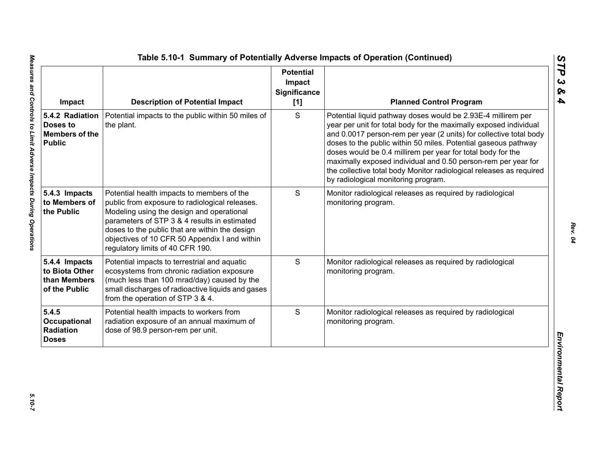| Impact                                                                | <b>Description of Potential Impact</b>                                                                                                                                                                                                                                                                                           | <b>Potential</b><br>Impact<br>Significance<br>[1] | <b>Planned Control Program</b>                                                                                                                                                                                                                                                                                                                                                                                                                                                                                          |
|-----------------------------------------------------------------------|----------------------------------------------------------------------------------------------------------------------------------------------------------------------------------------------------------------------------------------------------------------------------------------------------------------------------------|---------------------------------------------------|-------------------------------------------------------------------------------------------------------------------------------------------------------------------------------------------------------------------------------------------------------------------------------------------------------------------------------------------------------------------------------------------------------------------------------------------------------------------------------------------------------------------------|
| 5.4.2 Radiation<br>Doses to<br><b>Members of the</b><br><b>Public</b> | Potential impacts to the public within 50 miles of<br>the plant.                                                                                                                                                                                                                                                                 | S                                                 | Potential liquid pathway doses would be 2.93E-4 millirem per<br>year per unit for total body for the maximally exposed individual<br>and 0.0017 person-rem per year (2 units) for collective total body<br>doses to the public within 50 miles. Potential gaseous pathway<br>doses would be 0.4 millirem per year for total body for the<br>maximally exposed individual and 0.50 person-rem per year for<br>the collective total body Monitor radiological releases as required<br>by radiological monitoring program. |
| 5.4.3 Impacts<br>to Members of<br>the Public                          | Potential health impacts to members of the<br>public from exposure to radiological releases.<br>Modeling using the design and operational<br>parameters of STP 3 & 4 results in estimated<br>doses to the public that are within the design<br>objectives of 10 CFR 50 Appendix I and within<br>regulatory limits of 40 CFR 190. | S                                                 | Monitor radiological releases as required by radiological<br>monitoring program.                                                                                                                                                                                                                                                                                                                                                                                                                                        |
| 5.4.4 Impacts<br>to Biota Other<br>than Members<br>of the Public      | Potential impacts to terrestrial and aquatic<br>ecosystems from chronic radiation exposure<br>(much less than 100 mrad/day) caused by the<br>small discharges of radioactive liquids and gases<br>from the operation of STP 3 & 4.                                                                                               | S                                                 | Monitor radiological releases as required by radiological<br>monitoring program.                                                                                                                                                                                                                                                                                                                                                                                                                                        |
| 5.4.5<br>Occupational<br>Radiation<br><b>Doses</b>                    | Potential health impacts to workers from<br>radiation exposure of an annual maximum of<br>dose of 98.9 person-rem per unit.                                                                                                                                                                                                      | S                                                 | Monitor radiological releases as required by radiological<br>monitoring program.                                                                                                                                                                                                                                                                                                                                                                                                                                        |

*STP 3 & 4*

 $5.10 - 7$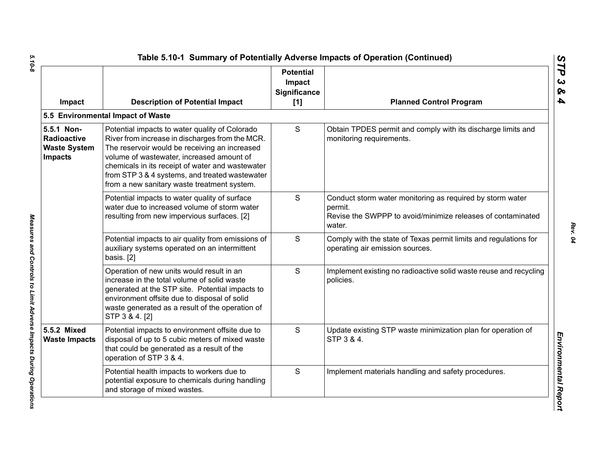| Impact                                                                    | <b>Description of Potential Impact</b>                                                                                                                                                                                                                                                                                                               | <b>Potential</b><br>Impact<br>Significance<br>[1] | <b>Planned Control Program</b>                                                                                                                |
|---------------------------------------------------------------------------|------------------------------------------------------------------------------------------------------------------------------------------------------------------------------------------------------------------------------------------------------------------------------------------------------------------------------------------------------|---------------------------------------------------|-----------------------------------------------------------------------------------------------------------------------------------------------|
|                                                                           | 5.5 Environmental Impact of Waste                                                                                                                                                                                                                                                                                                                    |                                                   |                                                                                                                                               |
| 5.5.1 Non-<br><b>Radioactive</b><br><b>Waste System</b><br><b>Impacts</b> | Potential impacts to water quality of Colorado<br>River from increase in discharges from the MCR.<br>The reservoir would be receiving an increased<br>volume of wastewater, increased amount of<br>chemicals in its receipt of water and wastewater<br>from STP 3 & 4 systems, and treated wastewater<br>from a new sanitary waste treatment system. | S                                                 | Obtain TPDES permit and comply with its discharge limits and<br>monitoring requirements.                                                      |
|                                                                           | Potential impacts to water quality of surface<br>water due to increased volume of storm water<br>resulting from new impervious surfaces. [2]                                                                                                                                                                                                         | S                                                 | Conduct storm water monitoring as required by storm water<br>permit.<br>Revise the SWPPP to avoid/minimize releases of contaminated<br>water. |
|                                                                           | Potential impacts to air quality from emissions of<br>auxiliary systems operated on an intermittent<br>basis. [2]                                                                                                                                                                                                                                    | S                                                 | Comply with the state of Texas permit limits and regulations for<br>operating air emission sources.                                           |
|                                                                           | Operation of new units would result in an<br>increase in the total volume of solid waste<br>generated at the STP site. Potential impacts to<br>environment offsite due to disposal of solid<br>waste generated as a result of the operation of<br>STP 3 & 4. [2]                                                                                     | S                                                 | Implement existing no radioactive solid waste reuse and recycling<br>policies.                                                                |
| 5.5.2 Mixed<br><b>Waste Impacts</b>                                       | Potential impacts to environment offsite due to<br>disposal of up to 5 cubic meters of mixed waste<br>that could be generated as a result of the<br>operation of STP 3 & 4.                                                                                                                                                                          | S                                                 | Update existing STP waste minimization plan for operation of<br>STP 3 & 4.                                                                    |
|                                                                           | Potential health impacts to workers due to<br>potential exposure to chemicals during handling<br>and storage of mixed wastes.                                                                                                                                                                                                                        | S                                                 | Implement materials handling and safety procedures.                                                                                           |

 $5.10 - 8$ *5.10-8 Measures and Controls to Limit Adverse Impacts During Operations* 

Measures and Controls to Limit Adverse Impacts During Operations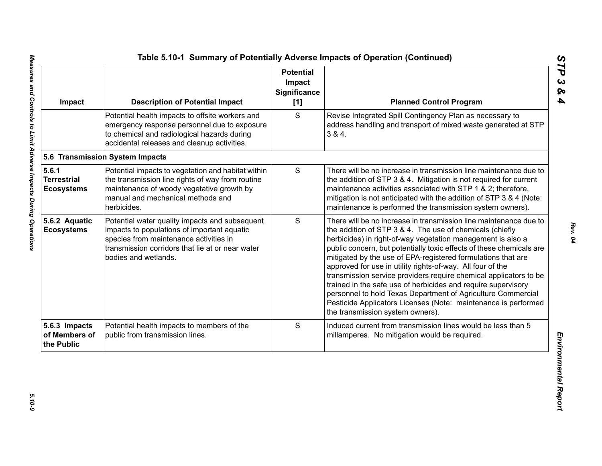| Impact                                           | <b>Description of Potential Impact</b>                                                                                                                                                                              | <b>Potential</b><br>Impact<br><b>Significance</b><br>[1] | <b>Planned Control Program</b>                                                                                                                                                                                                                                                                                                                                                                                                                                                                                                                                                                                                                                                                                 |
|--------------------------------------------------|---------------------------------------------------------------------------------------------------------------------------------------------------------------------------------------------------------------------|----------------------------------------------------------|----------------------------------------------------------------------------------------------------------------------------------------------------------------------------------------------------------------------------------------------------------------------------------------------------------------------------------------------------------------------------------------------------------------------------------------------------------------------------------------------------------------------------------------------------------------------------------------------------------------------------------------------------------------------------------------------------------------|
|                                                  | Potential health impacts to offsite workers and<br>emergency response personnel due to exposure<br>to chemical and radiological hazards during<br>accidental releases and cleanup activities.                       | S                                                        | Revise Integrated Spill Contingency Plan as necessary to<br>address handling and transport of mixed waste generated at STP<br>384.                                                                                                                                                                                                                                                                                                                                                                                                                                                                                                                                                                             |
|                                                  | 5.6 Transmission System Impacts                                                                                                                                                                                     |                                                          |                                                                                                                                                                                                                                                                                                                                                                                                                                                                                                                                                                                                                                                                                                                |
| 5.6.1<br><b>Terrestrial</b><br><b>Ecosystems</b> | Potential impacts to vegetation and habitat within<br>the transmission line rights of way from routine<br>maintenance of woody vegetative growth by<br>manual and mechanical methods and<br>herbicides.             | $\mathsf S$                                              | There will be no increase in transmission line maintenance due to<br>the addition of STP 3 & 4. Mitigation is not required for current<br>maintenance activities associated with STP 1 & 2; therefore,<br>mitigation is not anticipated with the addition of STP 3 & 4 (Note:<br>maintenance is performed the transmission system owners).                                                                                                                                                                                                                                                                                                                                                                     |
| 5.6.2 Aquatic<br><b>Ecosystems</b>               | Potential water quality impacts and subsequent<br>impacts to populations of important aquatic<br>species from maintenance activities in<br>transmission corridors that lie at or near water<br>bodies and wetlands. | S                                                        | There will be no increase in transmission line maintenance due to<br>the addition of STP 3 & 4. The use of chemicals (chiefly<br>herbicides) in right-of-way vegetation management is also a<br>public concern, but potentially toxic effects of these chemicals are<br>mitigated by the use of EPA-registered formulations that are<br>approved for use in utility rights-of-way. All four of the<br>transmission service providers require chemical applicators to be<br>trained in the safe use of herbicides and require supervisory<br>personnel to hold Texas Department of Agriculture Commercial<br>Pesticide Applicators Licenses (Note: maintenance is performed<br>the transmission system owners). |
| 5.6.3 Impacts<br>of Members of<br>the Public     | Potential health impacts to members of the<br>public from transmission lines.                                                                                                                                       | S                                                        | Induced current from transmission lines would be less than 5<br>millamperes. No mitigation would be required.                                                                                                                                                                                                                                                                                                                                                                                                                                                                                                                                                                                                  |

 $5.10 - 9$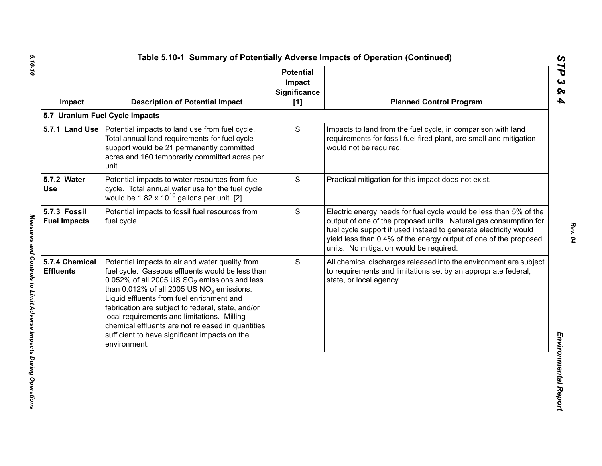| Impact                              | <b>Description of Potential Impact</b>                                                                                                                                                                                                                                                                                                                                                                                                                                        | <b>Potential</b><br>Impact<br><b>Significance</b><br>[1] | <b>Planned Control Program</b>                                                                                                                                                                                                                                                                                           |
|-------------------------------------|-------------------------------------------------------------------------------------------------------------------------------------------------------------------------------------------------------------------------------------------------------------------------------------------------------------------------------------------------------------------------------------------------------------------------------------------------------------------------------|----------------------------------------------------------|--------------------------------------------------------------------------------------------------------------------------------------------------------------------------------------------------------------------------------------------------------------------------------------------------------------------------|
|                                     | 5.7 Uranium Fuel Cycle Impacts                                                                                                                                                                                                                                                                                                                                                                                                                                                |                                                          |                                                                                                                                                                                                                                                                                                                          |
|                                     | 5.7.1 Land Use   Potential impacts to land use from fuel cycle.<br>Total annual land requirements for fuel cycle<br>support would be 21 permanently committed<br>acres and 160 temporarily committed acres per<br>unit.                                                                                                                                                                                                                                                       | S                                                        | Impacts to land from the fuel cycle, in comparison with land<br>requirements for fossil fuel fired plant, are small and mitigation<br>would not be required.                                                                                                                                                             |
| 5.7.2 Water<br><b>Use</b>           | Potential impacts to water resources from fuel<br>cycle. Total annual water use for the fuel cycle<br>would be $1.82 \times 10^{10}$ gallons per unit. [2]                                                                                                                                                                                                                                                                                                                    | S                                                        | Practical mitigation for this impact does not exist.                                                                                                                                                                                                                                                                     |
| 5.7.3 Fossil<br><b>Fuel Impacts</b> | Potential impacts to fossil fuel resources from<br>fuel cycle.                                                                                                                                                                                                                                                                                                                                                                                                                | S                                                        | Electric energy needs for fuel cycle would be less than 5% of the<br>output of one of the proposed units. Natural gas consumption for<br>fuel cycle support if used instead to generate electricity would<br>yield less than 0.4% of the energy output of one of the proposed<br>units. No mitigation would be required. |
| 5.7.4 Chemical<br><b>Effluents</b>  | Potential impacts to air and water quality from<br>fuel cycle. Gaseous effluents would be less than<br>0.052% of all 2005 US $SO_2$ emissions and less<br>than 0.012% of all 2005 US $NO_x$ emissions.<br>Liquid effluents from fuel enrichment and<br>fabrication are subject to federal, state, and/or<br>local requirements and limitations. Milling<br>chemical effluents are not released in quantities<br>sufficient to have significant impacts on the<br>environment. | S                                                        | All chemical discharges released into the environment are subject<br>to requirements and limitations set by an appropriate federal,<br>state, or local agency.                                                                                                                                                           |

*STP 3 & 4*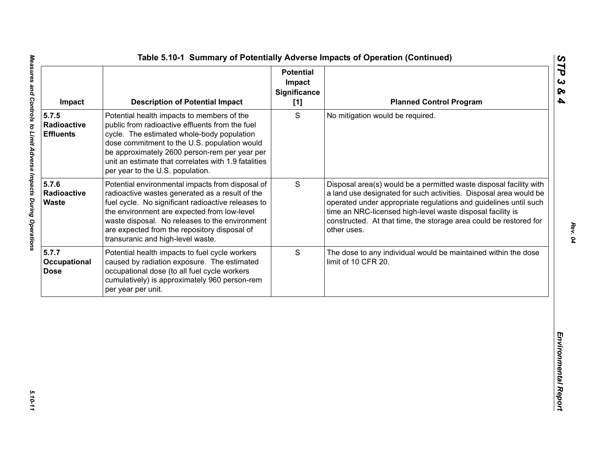| S<br>Potential health impacts to members of the<br>No mitigation would be required.<br>public from radioactive effluents from the fuel<br>Radioactive<br>cycle. The estimated whole-body population<br><b>Effluents</b><br>dose commitment to the U.S. population would<br>be approximately 2600 person-rem per year per<br>unit an estimate that correlates with 1.9 fatalities<br>per year to the U.S. population.<br>5.7.6<br>S<br>Potential environmental impacts from disposal of<br>Radioactive<br>radioactive wastes generated as a result of the<br><b>Waste</b><br>fuel cycle. No significant radioactive releases to<br>time an NRC-licensed high-level waste disposal facility is<br>the environment are expected from low-level<br>waste disposal. No releases to the environment<br>are expected from the repository disposal of<br>other uses.<br>transuranic and high-level waste.<br>S<br>Potential health impacts to fuel cycle workers<br>caused by radiation exposure. The estimated<br>limit of 10 CFR 20.<br>occupational dose (to all fuel cycle workers<br>cumulatively) is approximately 960 person-rem | Impact | <b>Description of Potential Impact</b> | <b>Potential</b><br>Impact<br><b>Significance</b><br>[1] | <b>Planned Control Program</b>                                                                                                                                                                                                                                                   |
|---------------------------------------------------------------------------------------------------------------------------------------------------------------------------------------------------------------------------------------------------------------------------------------------------------------------------------------------------------------------------------------------------------------------------------------------------------------------------------------------------------------------------------------------------------------------------------------------------------------------------------------------------------------------------------------------------------------------------------------------------------------------------------------------------------------------------------------------------------------------------------------------------------------------------------------------------------------------------------------------------------------------------------------------------------------------------------------------------------------------------------|--------|----------------------------------------|----------------------------------------------------------|----------------------------------------------------------------------------------------------------------------------------------------------------------------------------------------------------------------------------------------------------------------------------------|
|                                                                                                                                                                                                                                                                                                                                                                                                                                                                                                                                                                                                                                                                                                                                                                                                                                                                                                                                                                                                                                                                                                                                 | 5.7.5  |                                        |                                                          |                                                                                                                                                                                                                                                                                  |
| 5.7.7<br>Occupational<br><b>Dose</b>                                                                                                                                                                                                                                                                                                                                                                                                                                                                                                                                                                                                                                                                                                                                                                                                                                                                                                                                                                                                                                                                                            |        |                                        |                                                          | Disposal area(s) would be a permitted waste disposal facility with<br>a land use designated for such activities. Disposal area would be<br>operated under appropriate regulations and guidelines until such<br>constructed. At that time, the storage area could be restored for |
| per year per unit.                                                                                                                                                                                                                                                                                                                                                                                                                                                                                                                                                                                                                                                                                                                                                                                                                                                                                                                                                                                                                                                                                                              |        |                                        |                                                          | The dose to any individual would be maintained within the dose                                                                                                                                                                                                                   |
|                                                                                                                                                                                                                                                                                                                                                                                                                                                                                                                                                                                                                                                                                                                                                                                                                                                                                                                                                                                                                                                                                                                                 |        |                                        |                                                          |                                                                                                                                                                                                                                                                                  |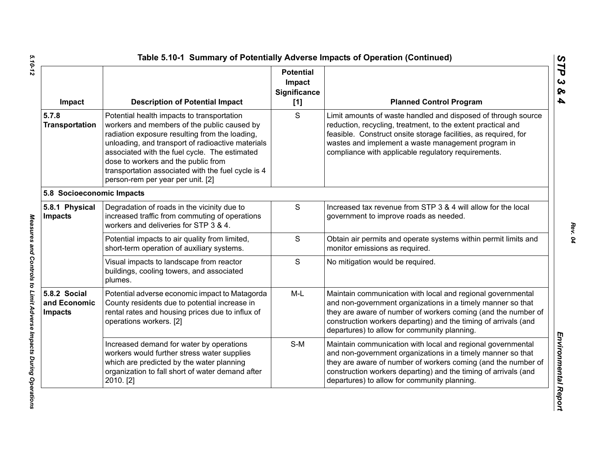| Impact                                         | <b>Description of Potential Impact</b>                                                                                                                                                                                                                                                                                                                                              | <b>Potential</b><br>Impact<br><b>Significance</b><br>[1] | <b>Planned Control Program</b>                                                                                                                                                                                                                                                                                 |
|------------------------------------------------|-------------------------------------------------------------------------------------------------------------------------------------------------------------------------------------------------------------------------------------------------------------------------------------------------------------------------------------------------------------------------------------|----------------------------------------------------------|----------------------------------------------------------------------------------------------------------------------------------------------------------------------------------------------------------------------------------------------------------------------------------------------------------------|
| 5.7.8<br><b>Transportation</b>                 | Potential health impacts to transportation<br>workers and members of the public caused by<br>radiation exposure resulting from the loading,<br>unloading, and transport of radioactive materials<br>associated with the fuel cycle. The estimated<br>dose to workers and the public from<br>transportation associated with the fuel cycle is 4<br>person-rem per year per unit. [2] | S                                                        | Limit amounts of waste handled and disposed of through source<br>reduction, recycling, treatment, to the extent practical and<br>feasible. Construct onsite storage facilities, as required, for<br>wastes and implement a waste management program in<br>compliance with applicable regulatory requirements.  |
| 5.8 Socioeconomic Impacts                      |                                                                                                                                                                                                                                                                                                                                                                                     |                                                          |                                                                                                                                                                                                                                                                                                                |
| 5.8.1 Physical<br><b>Impacts</b>               | Degradation of roads in the vicinity due to<br>increased traffic from commuting of operations<br>workers and deliveries for STP 3 & 4.                                                                                                                                                                                                                                              | $\mathbf S$                                              | Increased tax revenue from STP 3 & 4 will allow for the local<br>government to improve roads as needed.                                                                                                                                                                                                        |
|                                                | Potential impacts to air quality from limited,<br>short-term operation of auxiliary systems.                                                                                                                                                                                                                                                                                        | $\mathsf{S}$                                             | Obtain air permits and operate systems within permit limits and<br>monitor emissions as required.                                                                                                                                                                                                              |
|                                                | Visual impacts to landscape from reactor<br>buildings, cooling towers, and associated<br>plumes.                                                                                                                                                                                                                                                                                    | S                                                        | No mitigation would be required.                                                                                                                                                                                                                                                                               |
| 5.8.2 Social<br>and Economic<br><b>Impacts</b> | Potential adverse economic impact to Matagorda<br>County residents due to potential increase in<br>rental rates and housing prices due to influx of<br>operations workers. [2]                                                                                                                                                                                                      | $M-L$                                                    | Maintain communication with local and regional governmental<br>and non-government organizations in a timely manner so that<br>they are aware of number of workers coming (and the number of<br>construction workers departing) and the timing of arrivals (and<br>departures) to allow for community planning. |
|                                                | Increased demand for water by operations<br>workers would further stress water supplies<br>which are predicted by the water planning<br>organization to fall short of water demand after<br>2010. [2]                                                                                                                                                                               | $S-M$                                                    | Maintain communication with local and regional governmental<br>and non-government organizations in a timely manner so that<br>they are aware of number of workers coming (and the number of<br>construction workers departing) and the timing of arrivals (and<br>departures) to allow for community planning. |

Measures and Controls to Limit Adverse Impacts During Operations

*STP 3 & 4*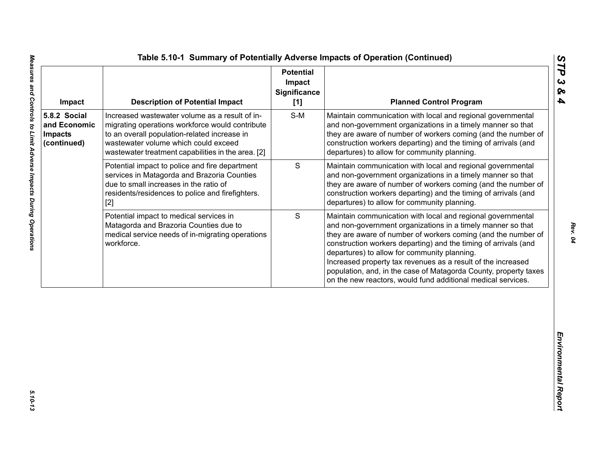| Impact                                                        | <b>Description of Potential Impact</b>                                                                                                                                                                                                          | <b>Potential</b><br>Impact<br><b>Significance</b><br>[1] | <b>Planned Control Program</b>                                                                                                                                                                                                                                                                                                                                                                                                                                                                                     |
|---------------------------------------------------------------|-------------------------------------------------------------------------------------------------------------------------------------------------------------------------------------------------------------------------------------------------|----------------------------------------------------------|--------------------------------------------------------------------------------------------------------------------------------------------------------------------------------------------------------------------------------------------------------------------------------------------------------------------------------------------------------------------------------------------------------------------------------------------------------------------------------------------------------------------|
| 5.8.2 Social<br>and Economic<br><b>Impacts</b><br>(continued) | Increased wastewater volume as a result of in-<br>migrating operations workforce would contribute<br>to an overall population-related increase in<br>wastewater volume which could exceed<br>wastewater treatment capabilities in the area. [2] | $S-M$                                                    | Maintain communication with local and regional governmental<br>and non-government organizations in a timely manner so that<br>they are aware of number of workers coming (and the number of<br>construction workers departing) and the timing of arrivals (and<br>departures) to allow for community planning.                                                                                                                                                                                                     |
|                                                               | Potential impact to police and fire department<br>services in Matagorda and Brazoria Counties<br>due to small increases in the ratio of<br>residents/residences to police and firefighters.<br>$[2]$                                            | $\mathbf S$                                              | Maintain communication with local and regional governmental<br>and non-government organizations in a timely manner so that<br>they are aware of number of workers coming (and the number of<br>construction workers departing) and the timing of arrivals (and<br>departures) to allow for community planning.                                                                                                                                                                                                     |
|                                                               | Potential impact to medical services in<br>Matagorda and Brazoria Counties due to<br>medical service needs of in-migrating operations<br>workforce.                                                                                             | S                                                        | Maintain communication with local and regional governmental<br>and non-government organizations in a timely manner so that<br>they are aware of number of workers coming (and the number of<br>construction workers departing) and the timing of arrivals (and<br>departures) to allow for community planning.<br>Increased property tax revenues as a result of the increased<br>population, and, in the case of Matagorda County, property taxes<br>on the new reactors, would fund additional medical services. |
|                                                               |                                                                                                                                                                                                                                                 |                                                          |                                                                                                                                                                                                                                                                                                                                                                                                                                                                                                                    |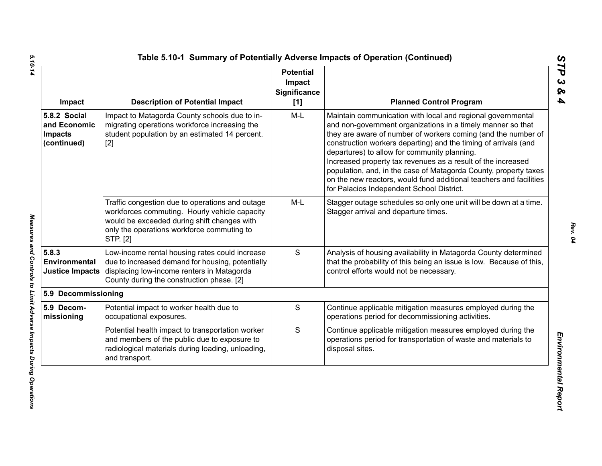| Impact                                                        | <b>Description of Potential Impact</b>                                                                                                                                                                    | <b>Potential</b><br>Impact<br><b>Significance</b><br>[1] | <b>Planned Control Program</b>                                                                                                                                                                                                                                                                                                                                                                                                                                                                                                                                        |
|---------------------------------------------------------------|-----------------------------------------------------------------------------------------------------------------------------------------------------------------------------------------------------------|----------------------------------------------------------|-----------------------------------------------------------------------------------------------------------------------------------------------------------------------------------------------------------------------------------------------------------------------------------------------------------------------------------------------------------------------------------------------------------------------------------------------------------------------------------------------------------------------------------------------------------------------|
| 5.8.2 Social<br>and Economic<br><b>Impacts</b><br>(continued) | Impact to Matagorda County schools due to in-<br>migrating operations workforce increasing the<br>student population by an estimated 14 percent.<br>$[2]$                                                 | $M-L$                                                    | Maintain communication with local and regional governmental<br>and non-government organizations in a timely manner so that<br>they are aware of number of workers coming (and the number of<br>construction workers departing) and the timing of arrivals (and<br>departures) to allow for community planning.<br>Increased property tax revenues as a result of the increased<br>population, and, in the case of Matagorda County, property taxes<br>on the new reactors, would fund additional teachers and facilities<br>for Palacios Independent School District. |
|                                                               | Traffic congestion due to operations and outage<br>workforces commuting. Hourly vehicle capacity<br>would be exceeded during shift changes with<br>only the operations workforce commuting to<br>STP. [2] | $M-L$                                                    | Stagger outage schedules so only one unit will be down at a time.<br>Stagger arrival and departure times.                                                                                                                                                                                                                                                                                                                                                                                                                                                             |
| 5.8.3<br>Environmental<br><b>Justice Impacts</b>              | Low-income rental housing rates could increase<br>due to increased demand for housing, potentially<br>displacing low-income renters in Matagorda<br>County during the construction phase. [2]             | S                                                        | Analysis of housing availability in Matagorda County determined<br>that the probability of this being an issue is low. Because of this,<br>control efforts would not be necessary.                                                                                                                                                                                                                                                                                                                                                                                    |
| 5.9 Decommissioning                                           |                                                                                                                                                                                                           |                                                          |                                                                                                                                                                                                                                                                                                                                                                                                                                                                                                                                                                       |
| 5.9 Decom-<br>missioning                                      | Potential impact to worker health due to<br>occupational exposures.                                                                                                                                       | $\mathbf S$                                              | Continue applicable mitigation measures employed during the<br>operations period for decommissioning activities.                                                                                                                                                                                                                                                                                                                                                                                                                                                      |
|                                                               | Potential health impact to transportation worker<br>and members of the public due to exposure to<br>radiological materials during loading, unloading,<br>and transport.                                   | $\mathbf S$                                              | Continue applicable mitigation measures employed during the<br>operations period for transportation of waste and materials to<br>disposal sites.                                                                                                                                                                                                                                                                                                                                                                                                                      |

5.10-14